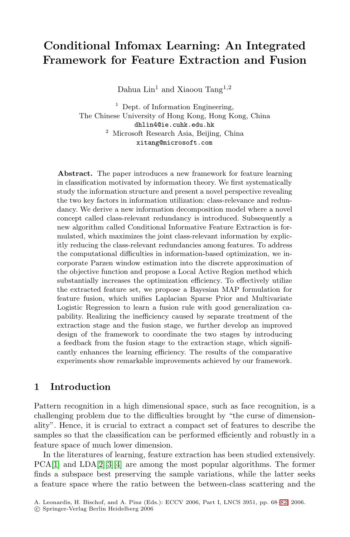# **Conditional Infomax Learning: An Integrated Framework for Feature Extraction and Fusion**

Dahua Lin<sup>1</sup> and Xiaoou Tang<sup>1,2</sup>

<sup>1</sup> Dept. of Information Engineering, The Chinese University of Hong Kong, Hong Kong, China dhlin4@ie.cuhk.edu.hk <sup>2</sup> Microsoft Research Asia, Beijing, China xitang@microsoft.com

**Abstract.** The paper introduces a new framework for feature learning in classification motivated by information theory. We first systematically study the information structure and present a novel perspective revealing the two key factors in information utilization: class-relevance and redundancy. We derive a new information decomposition model where a novel concept called class-relevant redundancy is introduced. Subsequently a new algorithm called Conditional Informative Feature Extraction is formulated, which maximizes the joint class-relevant information by explicitly reducing the class-relevant redundancies among features. To address the computational difficulties in information-based optimization, we incorporate Parzen window estimation into the discrete approximation of the objective function and propose a Local Active Region method which substantially increases the optimization efficiency. To effectively utilize the extracted feature set, we propose a Bayesian MAP formulation for feature fusion, which unifies Laplacian Sparse Prior and Multivariate Logistic Regression to learn a fusion rule with good generalization capability. Realizing the inefficiency caused by separate treatment of the extraction stage and the fusion stage, we further develop an improved design of the framework to coordinate the two stages by introducing a feedback from the fusion stage to the extraction stage, which significantly enhances the learning efficiency. The results of the comparative experiments show remarkable improvements achieved by our framework.

### **1 Introduction**

Pattern recognition in a high dimensional space, such as face recognition, is a challenging problem due to the difficulties brought by "the curse of dimensionality". Hence, it is crucial to extract a compact set of features to describe the samples so that the classification can be performed efficiently and robustly in a feature space of much lower dimension.

In the literatures of learning, feature extraction has been studied extensively. PCA[\[1\]](#page-13-0) and LDA[\[2\]](#page-13-1)[\[3\]](#page-13-2)[\[4\]](#page-13-3) are among the most popular algorithms. The former finds a subspace best preserving the sample variations, while the latter seeks a feature space where the ratio between the between-class scattering and the

A. Leonardis, H. Bischof, and A. Pinz (Eds.): ECCV 2006, Part I, LNCS 3951, pp. 68[–82,](#page-13-4) 2006.

<sup>-</sup>c Springer-Verlag Berlin Heidelberg 2006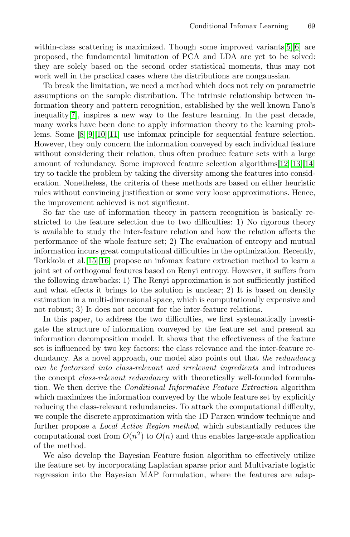within-class scattering is maximized. Though some improved variants[\[5\]](#page-13-5)[\[6\]](#page-13-6) are proposed, the fundamental limitation of PCA and LDA are yet to be solved: they are solely based on the second order statistical moments, thus may not work well in the practical cases where the distributions are nongaussian.

To break the limitation, we need a method which does not rely on parametric assumptions on the sample distribution. The intrinsic relationship between information theory and pattern recognition, established by the well known Fano's inequality[\[7\]](#page-13-7), inspires a new way to the feature learning. In the past decade, many works have been done to apply information theory to the learning problems. Some [\[8\]](#page-13-8)[\[9\]](#page-13-9)[\[10\]](#page-13-10)[\[11\]](#page-13-11) use infomax principle for sequential feature selection. However, they only concern the information conveyed by each individual feature without considering their relation, thus often produce feature sets with a large amount of redundancy. Some improved feature selection algorithms[\[12\]](#page-13-12)[\[13\]](#page-13-13)[\[14\]](#page-13-14) try to tackle the problem by taking the diversity among the features into consideration. Nonetheless, the criteria of these methods are based on either heuristic rules without convincing justification or some very loose approximations. Hence, the improvement achieved is not significant.

So far the use of information theory in pattern recognition is basically restricted to the feature selection due to two difficulties: 1) No rigorous theory is available to study the inter-feature relation and how the relation affects the performance of the whole feature set; 2) The evaluation of entropy and mutual information incurs great computational difficulties in the optimization. Recently, Torkkola et al.[\[15\]](#page-13-15)[\[16\]](#page-13-16) propose an infomax feature extraction method to learn a joint set of orthogonal features based on Renyi entropy. However, it suffers from the following drawbacks: 1) The Renyi approximation is not sufficiently justified and what effects it brings to the solution is unclear; 2) It is based on density estimation in a multi-dimensional space, which is computationally expensive and not robust; 3) It does not account for the inter-feature relations.

In this paper, to address the two difficulties, we first systematically investigate the structure of information conveyed by the feature set and present an information decomposition model. It shows that the effectiveness of the feature set is influenced by two key factors: the class relevance and the inter-feature redundancy. As a novel approach, our model also points out that the redundancy can be factorized into class-relevant and irrelevant ingredients and introduces the concept *class-relevant redundancy* with theoretically well-founded formulation. We then derive the Conditional Informative Feature Extraction algorithm which maximizes the information conveyed by the whole feature set by explicitly reducing the class-relevant redundancies. To attack the computational difficulty, we couple the discrete approximation with the 1D Parzen window technique and further propose a Local Active Region method, which substantially reduces the computational cost from  $O(n^2)$  to  $O(n)$  and thus enables large-scale application of the method.

We also develop the Bayesian Feature fusion algorithm to effectively utilize the feature set by incorporating Laplacian sparse prior and Multivariate logistic regression into the Bayesian MAP formulation, where the features are adap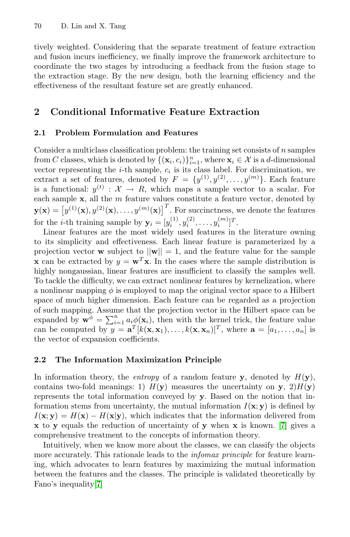tively weighted. Considering that the separate treatment of feature extraction and fusion incurs inefficiency, we finally improve the framework architecture to coordinate the two stages by introducing a feedback from the fusion stage to the extraction stage. By the new design, both the learning efficiency and the effectiveness of the resultant feature set are greatly enhanced.

### **2 Conditional Informative Feature Extraction**

#### **2.1 Problem Formulation and Features**

Consider a multiclass classification problem: the training set consists of  $n$  samples from C classes, which is denoted by  $\{(\mathbf{x}_i, c_i)\}_{i=1}^n$ , where  $\mathbf{x}_i \in \mathcal{X}$  is a d-dimensional vector representing the *i*-th sample,  $c_i$  is its class label. For discrimination, we extract a set of features, denoted by  $F = \{y^{(1)}, y^{(2)}, \ldots, y^{(m)}\}$ . Each feature is a functional:  $y^{(t)} : \mathcal{X} \to R$ , which maps a sample vector to a scalar. For each sample  $x$ , all the  $m$  feature values constitute a feature vector, denoted by  $\mathbf{y}(\mathbf{x}) = \left[y^{(1)}(\mathbf{x}), y^{(2)}(\mathbf{x}), \ldots, y^{(m)}(\mathbf{x})\right]^T$ . For succinctness, we denote the features for the *i*-th training sample by  $y_i = [y_i^{(1)}, y_i^{(2)}, \dots, y_i^{(m)}]^T$ .

Linear features are the most widely used features in the literature owning to its simplicity and effectiveness. Each linear feature is parameterized by a projection vector **w** subject to  $||\mathbf{w}|| = 1$ , and the feature value for the sample **x** can be extracted by  $y = \mathbf{w}^T \mathbf{x}$ . In the cases where the sample distribution is highly nongaussian, linear features are insufficient to classify the samples well. To tackle the difficulty, we can extract nonlinear features by kernelization, where a nonlinear mapping  $\phi$  is employed to map the original vector space to a Hilbert space of much higher dimension. Each feature can be regarded as a projection of such mapping. Assume that the projection vector in the Hilbert space can be expanded by  $\mathbf{w}^{\phi} = \sum_{i=1}^{n} a_i \phi(\mathbf{x}_i)$ , then with the kernel trick, the feature value can be computed by  $y = \mathbf{a}^T [k(\mathbf{x}, \mathbf{x}_1), \ldots, k(\mathbf{x}, \mathbf{x}_n)]^T$ , where  $\mathbf{a} = [a_1, \ldots, a_n]$  is the vector of expansion coefficients.

### **2.2 The Information Maximization Principle**

In information theory, the *entropy* of a random feature **y**, denoted by  $H(\mathbf{y})$ , contains two-fold meanings: 1)  $H(\mathbf{y})$  measures the uncertainty on **y**, 2) $H(\mathbf{y})$ represents the total information conveyed by **y**. Based on the notion that information stems from uncertainty, the mutual information  $I(\mathbf{x}; \mathbf{y})$  is defined by  $I(\mathbf{x}; \mathbf{y}) = H(\mathbf{x}) - H(\mathbf{x}|\mathbf{y})$ , which indicates that the information delivered from **x** to **y** equals the reduction of uncertainty of **y** when **x** is known. [\[7\]](#page-13-7) gives a comprehensive treatment to the concepts of information theory.

Intuitively, when we know more about the classes, we can classify the objects more accurately. This rationale leads to the *infomax principle* for feature learning, which advocates to learn features by maximizing the mutual information between the features and the classes. The principle is validated theoretically by Fano's inequality[\[7\]](#page-13-7)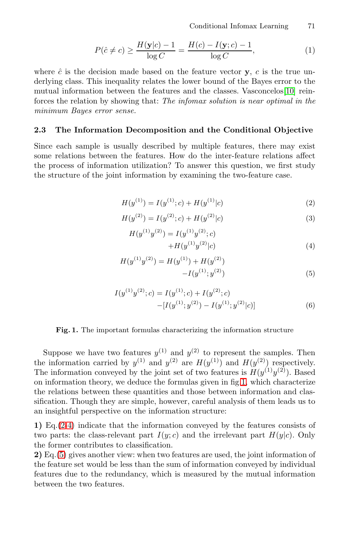Conditional Infomax Learning 71

$$
P(\hat{c} \neq c) \ge \frac{H(\mathbf{y}|c) - 1}{\log C} = \frac{H(c) - I(\mathbf{y};c) - 1}{\log C},\tag{1}
$$

where  $\hat{c}$  is the decision made based on the feature vector **y**, c is the true underlying class. This inequality relates the lower bound of the Bayes error to the mutual information between the features and the classes. Vasconcelos[\[10\]](#page-13-10) reinforces the relation by showing that: The infomax solution is near optimal in the minimum Bayes error sense.

#### **2.3 The Information Decomposition and the Conditional Objective**

Since each sample is usually described by multiple features, there may exist some relations between the features. How do the inter-feature relations affect the process of information utilization? To answer this question, we first study the structure of the joint information by examining the two-feature case.

<span id="page-3-1"></span>
$$
H(y^{(1)}) = I(y^{(1)}; c) + H(y^{(1)}|c)
$$
\n(2)

<span id="page-3-2"></span>
$$
H(y^{(2)}) = I(y^{(2)}; c) + H(y^{(2)}|c)
$$
\n(3)

$$
H(y^{(1)}y^{(2)}) = I(y^{(1)}y^{(2)}; c)
$$
  
+
$$
H(y^{(1)}y^{(2)}|c)
$$
 (4)

<span id="page-3-3"></span>
$$
H(y^{(1)}y^{(2)}) = H(y^{(1)}) + H(y^{(2)}) - I(y^{(1)};y^{(2)})
$$
\n(5)

$$
I(y^{(1)}y^{(2)};c) = I(y^{(1)};c) + I(y^{(2)};c)
$$
  
-[ $I(y^{(1)};y^{(2)}) - I(y^{(1)};y^{(2)}|c)$ ] (6)

#### <span id="page-3-4"></span>**Fig. 1.** The important formulas characterizing the information structure

<span id="page-3-0"></span>Suppose we have two features  $y^{(1)}$  and  $y^{(2)}$  to represent the samples. Then the information carried by  $y^{(1)}$  and  $y^{(2)}$  are  $H(y^{(1)})$  and  $H(y^{(2)})$  respectively. The information conveyed by the joint set of two features is  $H(y^{(1)}y^{(2)})$ . Based on information theory, we deduce the formulas given in fig[.1,](#page-3-0) which characterize the relations between these quantities and those between information and classification. Though they are simple, however, careful analysis of them leads us to an insightful perspective on the information structure:

**1)** Eq.[\(2-](#page-3-1)[4\)](#page-3-2) indicate that the information conveyed by the features consists of two parts: the class-relevant part  $I(y; c)$  and the irrelevant part  $H(y|c)$ . Only the former contributes to classification.

**2)** Eq.[\(5\)](#page-3-3) gives another view: when two features are used, the joint information of the feature set would be less than the sum of information conveyed by individual features due to the redundancy, which is measured by the mutual information between the two features.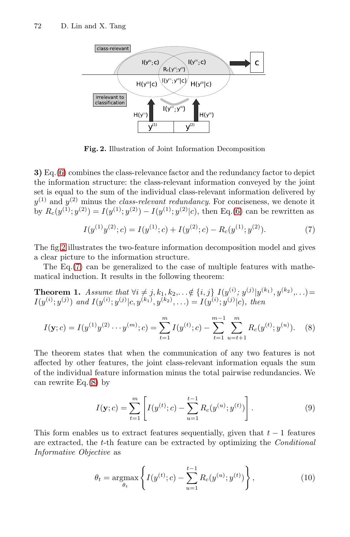

**Fig. 2.** Illustration of Joint Information Decomposition

<span id="page-4-0"></span>**3)** Eq.[\(6\)](#page-3-4) combines the class-relevance factor and the redundancy factor to depict the information structure: the class-relevant information conveyed by the joint set is equal to the sum of the individual class-relevant information delivered by  $y^{(1)}$  and  $y^{(2)}$  minus the *class-relevant redundancy*. For conciseness, we denote it by  $R_c(y^{(1)}; y^{(2)}) = I(y^{(1)}; y^{(2)}) - I(y^{(1)}; y^{(2)}|c)$ , then Eq.[\(6\)](#page-3-4) can be rewritten as

<span id="page-4-2"></span><span id="page-4-1"></span>
$$
I(y^{(1)}y^{(2)};c) = I(y^{(1)};c) + I(y^{(2)};c) - R_c(y^{(1)};y^{(2)}).
$$
\n(7)

The fig[.2](#page-4-0) illustrates the two-feature information decomposition model and gives a clear picture to the information structure.

The Eq.[\(7\)](#page-4-1) can be generalized to the case of multiple features with mathematical induction. It results in the following theorem:

**Theorem 1.** Assume that  $\forall i \neq j, k_1, k_2, \ldots \notin \{i, j\}$   $I(y^{(i)}; y^{(j)} | y^{(k_1)}, y^{(k_2)}, \ldots) =$  $I(y^{(i)}; y^{(j)})$  and  $I(y^{(i)}; y^{(j)} | c, y^{(k_1)}, y^{(k_2)}, ...) = I(y^{(i)}; y^{(j)} | c)$ , then

$$
I(\mathbf{y};c) = I(y^{(1)}y^{(2)} \cdots y^{(m)};c) = \sum_{t=1}^{m} I(y^{(t)};c) - \sum_{t=1}^{m-1} \sum_{u=t+1}^{m} R_c(y^{(t)};y^{(u)}).
$$
 (8)

The theorem states that when the communication of any two features is not affected by other features, the joint class-relevant information equals the sum of the individual feature information minus the total pairwise redundancies. We can rewrite Eq. $(8)$  by

$$
I(\mathbf{y};c) = \sum_{t=1}^{m} \left[ I(y^{(t)};c) - \sum_{u=1}^{t-1} R_c(y^{(u)};y^{(t)}) \right].
$$
 (9)

This form enables us to extract features sequentially, given that  $t-1$  features are extracted, the t-th feature can be extracted by optimizing the Conditional Informative Objective as

<span id="page-4-3"></span>
$$
\theta_t = \underset{\theta_t}{\text{argmax}} \left\{ I(y^{(t)}; c) - \sum_{u=1}^{t-1} R_c(y^{(u)}; y^{(t)}) \right\},\tag{10}
$$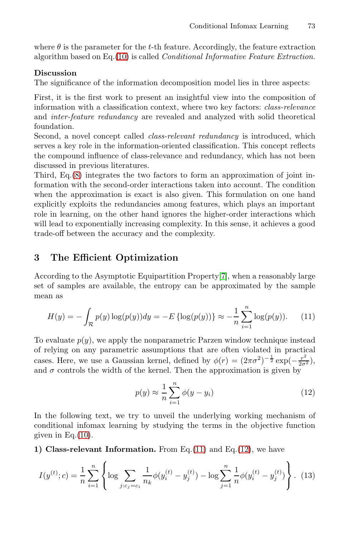where  $\theta$  is the parameter for the t-th feature. Accordingly, the feature extraction algorithm based on Eq. $(10)$  is called *Conditional Informative Feature Extraction*.

#### **Discussion**

The significance of the information decomposition model lies in three aspects:

First, it is the first work to present an insightful view into the composition of information with a classification context, where two key factors: class-relevance and inter-feature redundancy are revealed and analyzed with solid theoretical foundation.

Second, a novel concept called *class-relevant redundancy* is introduced, which serves a key role in the information-oriented classification. This concept reflects the compound influence of class-relevance and redundancy, which has not been discussed in previous literatures.

Third, Eq.[\(8\)](#page-4-2) integrates the two factors to form an approximation of joint information with the second-order interactions taken into account. The condition when the approximation is exact is also given. This formulation on one hand explicitly exploits the redundancies among features, which plays an important role in learning, on the other hand ignores the higher-order interactions which will lead to exponentially increasing complexity. In this sense, it achieves a good trade-off between the accuracy and the complexity.

### **3 The Efficient Optimization**

<span id="page-5-0"></span>According to the Asymptotic Equipartition Property[\[7\]](#page-13-7), when a reasonably large set of samples are available, the entropy can be approximated by the sample mean as

$$
H(y) = -\int_{\mathcal{R}} p(y) \log(p(y)) dy = -E \{ \log(p(y)) \} \approx -\frac{1}{n} \sum_{i=1}^{n} \log(p(y)). \tag{11}
$$

To evaluate  $p(y)$ , we apply the nonparametric Parzen window technique instead of relying on any parametric assumptions that are often violated in practical cases. Here, we use a Gaussian kernel, defined by  $\phi(r) = (2\pi\sigma^2)^{-\frac{1}{2}} \exp(-\frac{r^2}{2\sigma^2})$ , and  $\sigma$  controls the width of the kernel. Then the approximation is given by

<span id="page-5-1"></span>
$$
p(y) \approx \frac{1}{n} \sum_{i=1}^{n} \phi(y - y_i)
$$
\n(12)

In the following text, we try to unveil the underlying working mechanism of conditional infomax learning by studying the terms in the objective function given in Eq. $(10)$ .

**1) Class-relevant Information.** From Eq.[\(11\)](#page-5-0) and Eq.[\(12\)](#page-5-1), we have

$$
I(y^{(t)}; c) = \frac{1}{n} \sum_{i=1}^{n} \left\{ \log \sum_{j:c_j=c_i} \frac{1}{n_k} \phi(y_i^{(t)} - y_j^{(t)}) - \log \sum_{j=1}^{n} \frac{1}{n} \phi(y_i^{(t)} - y_j^{(t)}) \right\}.
$$
 (13)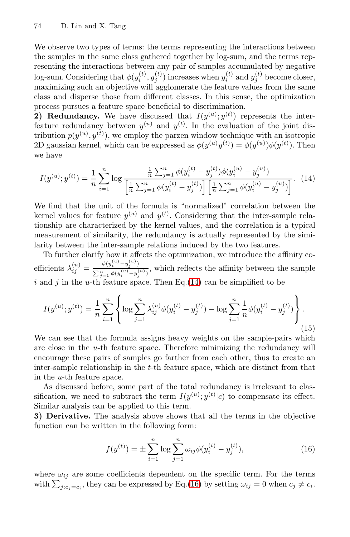We observe two types of terms: the terms representing the interactions between the samples in the same class gathered together by log-sum, and the terms representing the interactions between any pair of samples accumulated by negative log-sum. Considering that  $\phi(y_i^{(t)}, y_j^{(t)})$  increases when  $y_i^{(t)}$  and  $y_j^{(t)}$  become closer, maximizing such an objective will agglomerate the feature values from the same class and disperse those from different classes. In this sense, the optimization process pursues a feature space beneficial to discrimination.

**2) Redundancy.** We have discussed that  $I(y^{(u)}; y^{(t)})$  represents the interfeature redundancy between  $y^{(u)}$  and  $y^{(t)}$ . In the evaluation of the joint distribution  $p(y^{(u)}, y^{(t)})$ , we employ the parzen window technique with an isotropic 2D gaussian kernel, which can be expressed as  $\phi(y^{(u)}y^{(t)}) = \phi(y^{(u)})\phi(y^{(t)})$ . Then we have

<span id="page-6-0"></span>
$$
I(y^{(u)}; y^{(t)}) = \frac{1}{n} \sum_{i=1}^{n} \log \frac{\frac{1}{n} \sum_{j=1}^{n} \phi(y_i^{(t)} - y_j^{(t)}) \phi(y_i^{(u)} - y_j^{(u)})}{\left[\frac{1}{n} \sum_{j=1}^{n} \phi(y_i^{(t)} - y_j^{(t)})\right] \left[\frac{1}{n} \sum_{j=1}^{n} \phi(y_i^{(u)} - y_j^{(u)})\right]}.
$$
(14)

We find that the unit of the formula is "normalized" correlation between the kernel values for feature  $y^{(u)}$  and  $y^{(t)}$ . Considering that the inter-sample relationship are characterized by the kernel values, and the correlation is a typical measurement of similarity, the redundancy is actually represented by the similarity between the inter-sample relations induced by the two features.

To further clarify how it affects the optimization, we introduce the affinity coefficients  $\lambda_{ij}^{(u)} = \frac{\phi(y_i^{(u)} - y_j^{(u)})}{\sum_{j=1}^n \phi(y_i^{(u)} - y_j^{(u)})}$  $\sum_{j=1}^{v(y_i - y_j)} \phi(y_i^{(u)} - y_j^{(u)})$ , which reflects the affinity between the sample i and j in the u-th feature space. Then Eq.  $(14)$  can be simplified to be

$$
I(y^{(u)}; y^{(t)}) = \frac{1}{n} \sum_{i=1}^{n} \left\{ \log \sum_{j=1}^{n} \lambda_{ij}^{(u)} \phi(y_i^{(t)} - y_j^{(t)}) - \log \sum_{j=1}^{n} \frac{1}{n} \phi(y_i^{(t)} - y_j^{(t)}) \right\}.
$$
\n(15)

We can see that the formula assigns heavy weights on the sample-pairs which are close in the  $u$ -th feature space. Therefore minimizing the redundancy will encourage these pairs of samples go farther from each other, thus to create an inter-sample relationship in the t-th feature space, which are distinct from that in the u-th feature space.

As discussed before, some part of the total redundancy is irrelevant to classification, we need to subtract the term  $I(y^{(u)}; y^{(t)} | c)$  to compensate its effect. Similar analysis can be applied to this term.

**3) Derivative.** The analysis above shows that all the terms in the objective function can be written in the following form:

<span id="page-6-1"></span>
$$
f(y^{(t)}) = \pm \sum_{i=1}^{n} \log \sum_{j=1}^{n} \omega_{ij} \phi(y_i^{(t)} - y_j^{(t)}),
$$
 (16)

where  $\omega_{ij}$  are some coefficients dependent on the specific term. For the terms with  $\sum_{j:c_j=c_i}$ , they can be expressed by Eq.[\(16\)](#page-6-1) by setting  $\omega_{ij} = 0$  when  $c_j \neq c_i$ .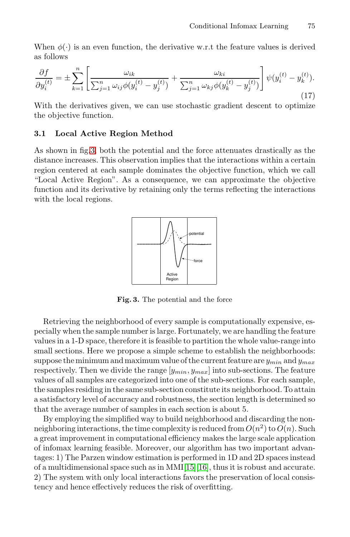When  $\phi(\cdot)$  is an even function, the derivative w.r.t the feature values is derived as follows

$$
\frac{\partial f}{\partial y_i^{(t)}} = \pm \sum_{k=1}^n \left[ \frac{\omega_{ik}}{\sum_{j=1}^n \omega_{ij} \phi(y_i^{(t)} - y_j^{(t)})} + \frac{\omega_{ki}}{\sum_{j=1}^n \omega_{kj} \phi(y_k^{(t)} - y_j^{(t)})} \right] \psi(y_i^{(t)} - y_k^{(t)}).
$$
\n(17)

With the derivatives given, we can use stochastic gradient descent to optimize the objective function.

#### **3.1 Local Active Region Method**

As shown in fig[.3,](#page-7-0) both the potential and the force attenuates drastically as the distance increases. This observation implies that the interactions within a certain region centered at each sample dominates the objective function, which we call "Local Active Region". As a consequence, we can approximate the objective function and its derivative by retaining only the terms reflecting the interactions with the local regions.



<span id="page-7-0"></span>**Fig. 3.** The potential and the force

Retrieving the neighborhood of every sample is computationally expensive, especially when the sample number is large. Fortunately, we are handling the feature values in a 1-D space, therefore it is feasible to partition the whole value-range into small sections. Here we propose a simple scheme to establish the neighborhoods: suppose the minimum and maximum value of the current feature are  $y_{min}$  and  $y_{max}$ respectively. Then we divide the range  $[y_{min}, y_{max}]$  into sub-sections. The feature values of all samples are categorized into one of the sub-sections. For each sample, the samples residing in the same sub-section constitute its neighborhood. To attain a satisfactory level of accuracy and robustness, the section length is determined so that the average number of samples in each section is about 5.

By employing the simplified way to build neighborhood and discarding the nonneighboring interactions, the time complexity is reduced from  $O(n^2)$  to  $O(n)$ . Such a great improvement in computational efficiency makes the large scale application of infomax learning feasible. Moreover, our algorithm has two important advantages: 1) The Parzen window estimation is performed in 1D and 2D spaces instead of a multidimensional space such as in  $MMI[15][16]$  $MMI[15][16]$  $MMI[15][16]$ , thus it is robust and accurate. 2) The system with only local interactions favors the preservation of local consistency and hence effectively reduces the risk of overfitting.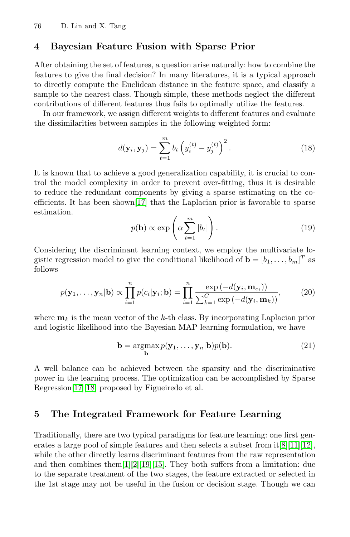### **4 Bayesian Feature Fusion with Sparse Prior**

After obtaining the set of features, a question arise naturally: how to combine the features to give the final decision? In many literatures, it is a typical approach to directly compute the Euclidean distance in the feature space, and classify a sample to the nearest class. Though simple, these methods neglect the different contributions of different features thus fails to optimally utilize the features.

In our framework, we assign different weights to different features and evaluate the dissimilarities between samples in the following weighted form:

$$
d(\mathbf{y}_i, \mathbf{y}_j) = \sum_{t=1}^m b_t \left( y_i^{(t)} - y_j^{(t)} \right)^2.
$$
 (18)

It is known that to achieve a good generalization capability, it is crucial to control the model complexity in order to prevent over-fitting, thus it is desirable to reduce the redundant components by giving a sparse estimating on the coefficients. It has been shown[\[17\]](#page-14-0) that the Laplacian prior is favorable to sparse estimation.

$$
p(\mathbf{b}) \propto \exp\left(\alpha \sum_{t=1}^{m} |b_t|\right). \tag{19}
$$

Considering the discriminant learning context, we employ the multivariate logistic regression model to give the conditional likelihood of  $\mathbf{b} = [b_1, \ldots, b_m]^T$  as follows

$$
p(\mathbf{y}_1,\ldots,\mathbf{y}_n|\mathbf{b}) \propto \prod_{i=1}^n p(c_i|\mathbf{y}_i;\mathbf{b}) = \prod_{i=1}^n \frac{\exp\left(-d(\mathbf{y}_i,\mathbf{m}_{c_i})\right)}{\sum_{k=1}^C \exp\left(-d(\mathbf{y}_i,\mathbf{m}_k)\right)},\tag{20}
$$

where  $\mathbf{m}_k$  is the mean vector of the k-th class. By incorporating Laplacian prior and logistic likelihood into the Bayesian MAP learning formulation, we have

$$
\mathbf{b} = \underset{\mathbf{b}}{\operatorname{argmax}} p(\mathbf{y}_1, \dots, \mathbf{y}_n | \mathbf{b}) p(\mathbf{b}).
$$
 (21)

A well balance can be achieved between the sparsity and the discriminative power in the learning process. The optimization can be accomplished by Sparse Regression[\[17\]](#page-14-0)[\[18\]](#page-14-1) proposed by Figueiredo et al.

### **5 The Integrated Framework for Feature Learning**

Traditionally, there are two typical paradigms for feature learning: one first generates a large pool of simple features and then selects a subset from it[\[8\]](#page-13-8)[\[11\]](#page-13-11)[\[12\]](#page-13-12), while the other directly learns discriminant features from the raw representation and then combines them[\[1\]](#page-13-0)[\[2\]](#page-13-1)[\[19\]](#page-14-2)[\[15\]](#page-13-15). They both suffers from a limitation: due to the separate treatment of the two stages, the feature extracted or selected in the 1st stage may not be useful in the fusion or decision stage. Though we can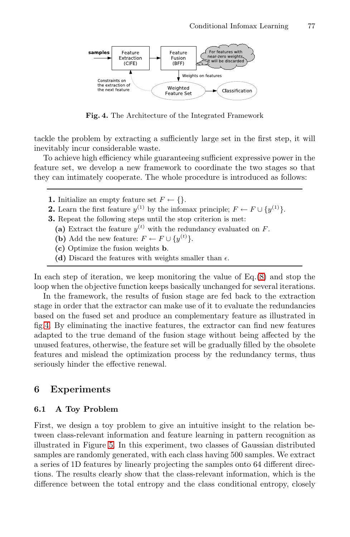

**Fig. 4.** The Architecture of the Integrated Framework

<span id="page-9-0"></span>tackle the problem by extracting a sufficiently large set in the first step, it will inevitably incur considerable waste.

To achieve high efficiency while guaranteeing sufficient expressive power in the feature set, we develop a new framework to coordinate the two stages so that they can intimately cooperate. The whole procedure is introduced as follows:

- **1.** Initialize an empty feature set  $F \leftarrow \{\}.$
- **2.** Learn the first feature  $y^{(1)}$  by the infomax principle;  $F \leftarrow F \cup \{y^{(1)}\}.$
- **3.** Repeat the following steps until the stop criterion is met:
	- (a) Extract the feature  $y^{(t)}$  with the redundancy evaluated on F.
	- **(b)** Add the new feature:  $F \leftarrow F \cup \{y^{(t)}\}.$
	- **(c)** Optimize the fusion weights **b**.
	- (d) Discard the features with weights smaller than  $\epsilon$ .

In each step of iteration, we keep monitoring the value of  $Eq.(8)$  $Eq.(8)$  and stop the loop when the objective function keeps basically unchanged for several iterations.

In the framework, the results of fusion stage are fed back to the extraction stage in order that the extractor can make use of it to evaluate the redundancies based on the fused set and produce an complementary feature as illustrated in fig[.4.](#page-9-0) By eliminating the inactive features, the extractor can find new features adapted to the true demand of the fusion stage without being affected by the unused features, otherwise, the feature set will be gradually filled by the obsolete features and mislead the optimization process by the redundancy terms, thus seriously hinder the effective renewal.

### **6 Experiments**

#### **6.1 A Toy Problem**

First, we design a toy problem to give an intuitive insight to the relation between class-relevant information and feature learning in pattern recognition as illustrated in Figure [5.](#page-10-0) In this experiment, two classes of Gaussian distributed samples are randomly generated, with each class having 500 samples. We extract a series of 1D features by linearly projecting the samples onto 64 different directions. The results clearly show that the class-relevant information, which is the difference between the total entropy and the class conditional entropy, closely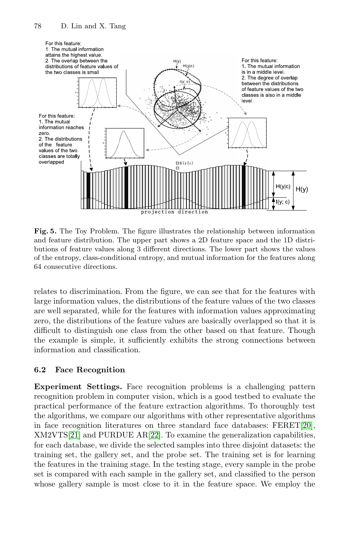

<span id="page-10-0"></span>**Fig. 5.** The Toy Problem. The figure illustrates the relationship between information and feature distribution. The upper part shows a 2D feature space and the 1D distributions of feature values along 3 different directions. The lower part shows the values of the entropy, class-conditional entropy, and mutual information for the features along 64 consecutive directions.

relates to discrimination. From the figure, we can see that for the features with large information values, the distributions of the feature values of the two classes are well separated, while for the features with information values approximating zero, the distributions of the feature values are basically overlapped so that it is difficult to distinguish one class from the other based on that feature. Though the example is simple, it sufficiently exhibits the strong connections between information and classification.

### **6.2 Face Recognition**

**Experiment Settings.** Face recognition problems is a challenging pattern recognition problem in computer vision, which is a good testbed to evaluate the practical performance of the feature extraction algorithms. To thoroughly test the algorithms, we compare our algorithms with other representative algorithms in face recognition literatures on three standard face databases:  $FERET[20]$  $FERET[20]$ , XM2VTS[\[21\]](#page-14-4) and PURDUE AR[\[22\]](#page-14-5). To examine the generalization capabilities, for each database, we divide the selected samples into three disjoint datasets: the training set, the gallery set, and the probe set. The training set is for learning the features in the training stage. In the testing stage, every sample in the probe set is compared with each sample in the gallery set, and classified to the person whose gallery sample is most close to it in the feature space. We employ the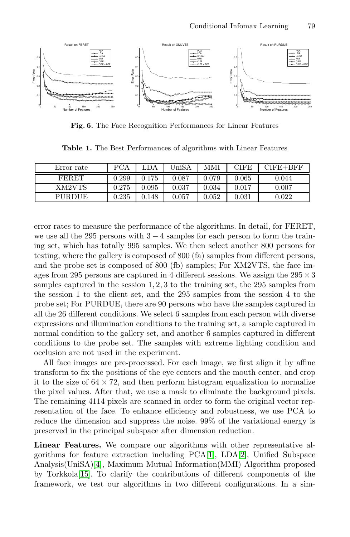

**Fig. 6.** The Face Recognition Performances for Linear Features

<span id="page-11-0"></span>**Table 1.** The Best Performances of algorithms with Linear Features

<span id="page-11-1"></span>

| Error rate | <b>PCA</b> | .DA         | UniSA      | MMI   | CIFE        | $CIFE + BFF$ |
|------------|------------|-------------|------------|-------|-------------|--------------|
| FERET      | 0.299      | 0.175       | 0.087      | 0.079 | 0.065       | 0.044        |
| XM2VTS     | 0.275      | $\,0.095\,$ | $_{0.037}$ | 0.034 | $\rm 0.017$ | 0.007        |
| PURDUE     | 0.235      | 0.148       | $0.057\,$  | 0.052 | 0.031       | 0.022        |

error rates to measure the performance of the algorithms. In detail, for FERET, we use all the 295 persons with  $3 - 4$  samples for each person to form the training set, which has totally 995 samples. We then select another 800 persons for testing, where the gallery is composed of 800 (fa) samples from different persons, and the probe set is composed of 800 (fb) samples; For XM2VTS, the face images from 295 persons are captured in 4 different sessions. We assign the  $295 \times 3$ samples captured in the session 1, 2, 3 to the training set, the 295 samples from the session 1 to the client set, and the 295 samples from the session 4 to the probe set; For PURDUE, there are 90 persons who have the samples captured in all the 26 different conditions. We select 6 samples from each person with diverse expressions and illumination conditions to the training set, a sample captured in normal condition to the gallery set, and another 6 samples captured in different conditions to the probe set. The samples with extreme lighting condition and occlusion are not used in the experiment.

All face images are pre-processed. For each image, we first align it by affine transform to fix the positions of the eye centers and the mouth center, and crop it to the size of  $64 \times 72$ , and then perform histogram equalization to normalize the pixel values. After that, we use a mask to eliminate the background pixels. The remaining 4114 pixels are scanned in order to form the original vector representation of the face. To enhance efficiency and robustness, we use PCA to reduce the dimension and suppress the noise. 99% of the variational energy is preserved in the principal subspace after dimension reduction.

**Linear Features.** We compare our algorithms with other representative algorithms for feature extraction including PCA[\[1\]](#page-13-0), LDA[\[2\]](#page-13-1), Unified Subspace Analysis(UniSA)[\[4\]](#page-13-3), Maximum Mutual Information(MMI) Algorithm proposed by Torkkola[\[15\]](#page-13-15). To clarify the contributions of different components of the framework, we test our algorithms in two different configurations. In a sim-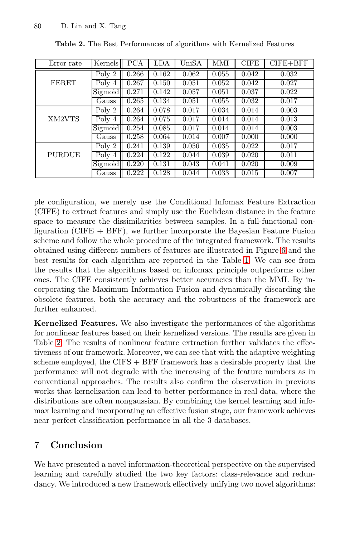<span id="page-12-0"></span>

| Error rate    | Kernels | <b>PCA</b> | LDA   | UniSA | MMI   | <b>CIFE</b> | $CIFE + BFF$ |
|---------------|---------|------------|-------|-------|-------|-------------|--------------|
| FERET         | Poly 2  | 0.266      | 0.162 | 0.062 | 0.055 | 0.042       | 0.032        |
|               | Poly 4  | 0.267      | 0.150 | 0.051 | 0.052 | 0.042       | 0.027        |
|               | Sigmoid | 0.271      | 0.142 | 0.057 | 0.051 | 0.037       | 0.022        |
|               | Gauss   | 0.265      | 0.134 | 0.051 | 0.055 | 0.032       | 0.017        |
| XM2VTS        | Poly 2  | 0.264      | 0.078 | 0.017 | 0.034 | 0.014       | 0.003        |
|               | Poly 4  | 0.264      | 0.075 | 0.017 | 0.014 | 0.014       | 0.013        |
|               | Sigmoid | 0.254      | 0.085 | 0.017 | 0.014 | 0.014       | 0.003        |
|               | Gauss   | 0.258      | 0.064 | 0.014 | 0.007 | 0.000       | 0.000        |
| <b>PURDUE</b> | Poly 2  | 0.241      | 0.139 | 0.056 | 0.035 | 0.022       | 0.017        |
|               | Poly 4  | 0.224      | 0.122 | 0.044 | 0.039 | 0.020       | 0.011        |
|               | Sigmoid | 0.220      | 0.131 | 0.043 | 0.041 | 0.020       | 0.009        |
|               | Gauss   | 0.222      | 0.128 | 0.044 | 0.033 | 0.015       | 0.007        |

**Table 2.** The Best Performances of algorithms with Kernelized Features

ple configuration, we merely use the Conditional Infomax Feature Extraction (CIFE) to extract features and simply use the Euclidean distance in the feature space to measure the dissimilarities between samples. In a full-functional configuration (CIFE  $+$  BFF), we further incorporate the Bayesian Feature Fusion scheme and follow the whole procedure of the integrated framework. The results obtained using different numbers of features are illustrated in Figure [6](#page-11-0) and the best results for each algorithm are reported in the Table [1.](#page-11-1) We can see from the results that the algorithms based on infomax principle outperforms other ones. The CIFE consistently achieves better accuracies than the MMI. By incorporating the Maximum Information Fusion and dynamically discarding the obsolete features, both the accuracy and the robustness of the framework are further enhanced.

**Kernelized Features.** We also investigate the performances of the algorithms for nonlinear features based on their kernelized versions. The results are given in Table [2.](#page-12-0) The results of nonlinear feature extraction further validates the effectiveness of our framework. Moreover, we can see that with the adaptive weighting scheme employed, the CIFS + BFF framework has a desirable property that the performance will not degrade with the increasing of the feature numbers as in conventional approaches. The results also confirm the observation in previous works that kernelization can lead to better performance in real data, where the distributions are often nongaussian. By combining the kernel learning and infomax learning and incorporating an effective fusion stage, our framework achieves near perfect classification performance in all the 3 databases.

## **7 Conclusion**

We have presented a novel information-theoretical perspective on the supervised learning and carefully studied the two key factors: class-relevance and redundancy. We introduced a new framework effectively unifying two novel algorithms: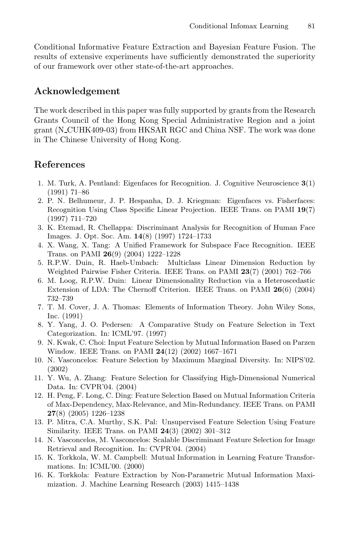Conditional Informative Feature Extraction and Bayesian Feature Fusion. The results of extensive experiments have sufficiently demonstrated the superiority of our framework over other state-of-the-art approaches.

### **Acknowledgement**

The work described in this paper was fully supported by grants from the Research Grants Council of the Hong Kong Special Administrative Region and a joint grant (N\_CUHK409-03) from HKSAR RGC and China NSF. The work was done in The Chinese University of Hong Kong.

### <span id="page-13-4"></span><span id="page-13-0"></span>**References**

- 1. M. Turk, A. Pentland: Eigenfaces for Recognition. J. Cognitive Neuroscience **3**(1) (1991) 71–86
- <span id="page-13-1"></span>2. P. N. Belhumeur, J. P. Hespanha, D. J. Kriegman: Eigenfaces vs. Fisherfaces: Recognition Using Class Specific Linear Projection. IEEE Trans. on PAMI **19**(7) (1997) 711–720
- <span id="page-13-2"></span>3. K. Etemad, R. Chellappa: Discriminant Analysis for Recognition of Human Face Images. J. Opt. Soc. Am. **14**(8) (1997) 1724–1733
- <span id="page-13-3"></span>4. X. Wang, X. Tang: A Unified Framework for Subspace Face Recognition. IEEE Trans. on PAMI **26**(9) (2004) 1222–1228
- <span id="page-13-5"></span>5. R.P.W. Duin, R. Haeb-Umbach: Multiclass Linear Dimension Reduction by Weighted Pairwise Fisher Criteria. IEEE Trans. on PAMI **23**(7) (2001) 762–766
- <span id="page-13-6"></span>6. M. Loog, R.P.W. Duin: Linear Dimensionality Reduction via a Heteroscedastic Extension of LDA: The Chernoff Criterion. IEEE Trans. on PAMI **26**(6) (2004) 732–739
- <span id="page-13-7"></span>7. T. M. Cover, J. A. Thomas: Elements of Information Theory. John Wiley Sons, Inc. (1991)
- <span id="page-13-8"></span>8. Y. Yang, J. O. Pedersen: A Comparative Study on Feature Selection in Text Categorization. In: ICML'97. (1997)
- <span id="page-13-9"></span>9. N. Kwak, C. Choi: Input Feature Selection by Mutual Information Based on Parzen Window. IEEE Trans. on PAMI **24**(12) (2002) 1667–1671
- <span id="page-13-10"></span>10. N. Vasconcelos: Feature Selection by Maximum Marginal Diversity. In: NIPS'02. (2002)
- <span id="page-13-11"></span>11. Y. Wu, A. Zhang: Feature Selection for Classifying High-Dimensional Numerical Data. In: CVPR'04. (2004)
- <span id="page-13-12"></span>12. H. Peng, F. Long, C. Ding: Feature Selection Based on Mutual Information Criteria of Max-Dependency, Max-Relevance, and Min-Redundancy. IEEE Trans. on PAMI **27**(8) (2005) 1226–1238
- <span id="page-13-13"></span>13. P. Mitra, C.A. Murthy, S.K. Pal: Unsupervised Feature Selection Using Feature Similarity. IEEE Trans. on PAMI **24**(3) (2002) 301–312
- <span id="page-13-14"></span>14. N. Vasconcelos, M. Vasconcelos: Scalable Discriminant Feature Selection for Image Retrieval and Recognition. In: CVPR'04. (2004)
- <span id="page-13-15"></span>15. K. Torkkola, W. M. Campbell: Mutual Information in Learning Feature Transformations. In: ICML'00. (2000)
- <span id="page-13-16"></span>16. K. Torkkola: Feature Extraction by Non-Parametric Mutual Information Maximization. J. Machine Learning Research (2003) 1415–1438